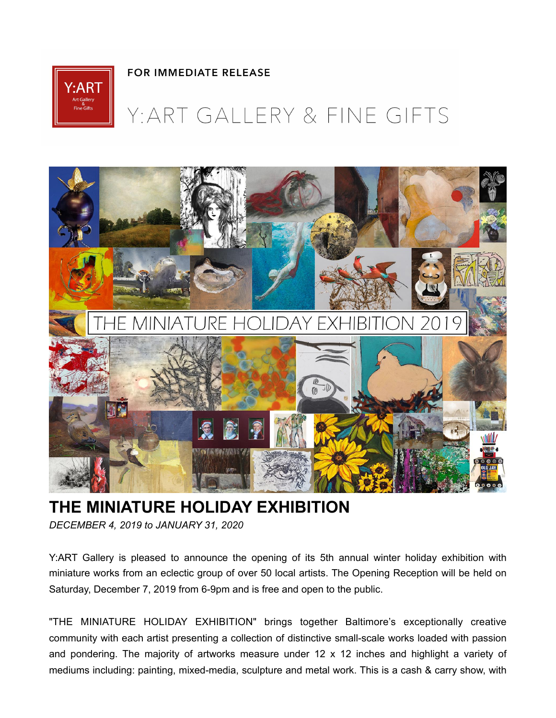

## **FOR IMMEDIATE RELEASE**

## Y: ART GALLERY & FINE GIFTS



## **THE MINIATURE HOLIDAY EXHIBITION**

*DECEMBER 4, 2019 to JANUARY 31, 2020* 

Y:ART Gallery is pleased to announce the opening of its 5th annual winter holiday exhibition with miniature works from an eclectic group of over 50 local artists. The Opening Reception will be held on Saturday, December 7, 2019 from 6-9pm and is free and open to the public.

"THE MINIATURE HOLIDAY EXHIBITION" brings together Baltimore's exceptionally creative community with each artist presenting a collection of distinctive small-scale works loaded with passion and pondering. The majority of artworks measure under 12 x 12 inches and highlight a variety of mediums including: painting, mixed-media, sculpture and metal work. This is a cash & carry show, with